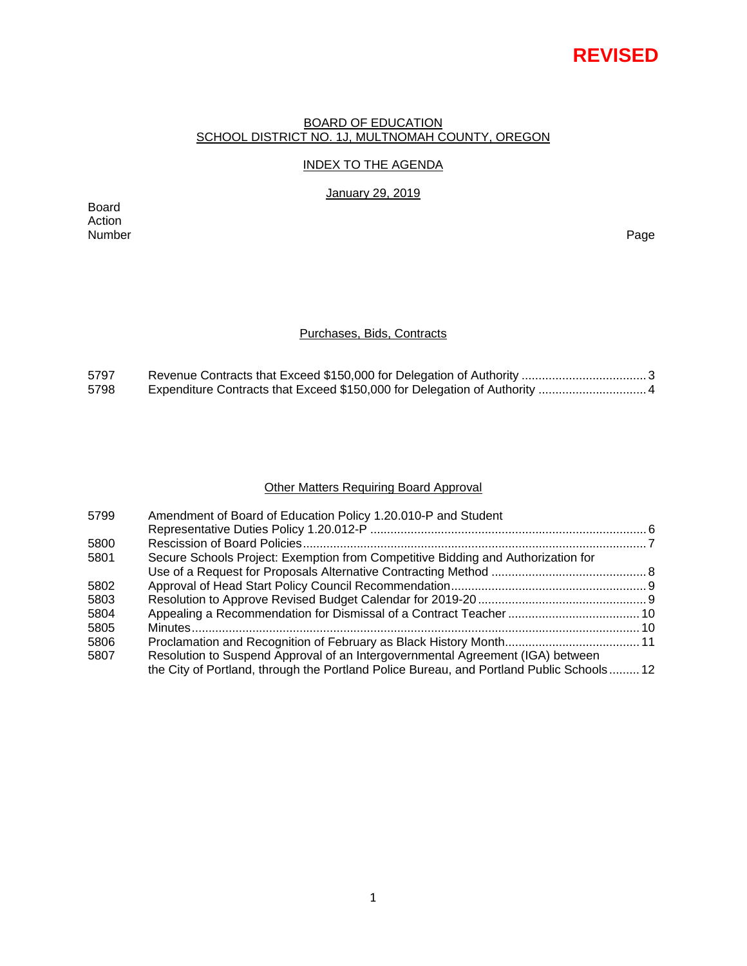# **REVISED**

### BOARD OF EDUCATION SCHOOL DISTRICT NO. 1J, MULTNOMAH COUNTY, OREGON

# INDEX TO THE AGENDA

January 29, 2019

Board Action Number Page

# Purchases, Bids, Contracts

| 5797 |  |
|------|--|
| 5798 |  |

# Other Matters Requiring Board Approval

| 5799 | Amendment of Board of Education Policy 1.20.010-P and Student                            |  |
|------|------------------------------------------------------------------------------------------|--|
|      |                                                                                          |  |
| 5800 |                                                                                          |  |
| 5801 | Secure Schools Project: Exemption from Competitive Bidding and Authorization for         |  |
|      |                                                                                          |  |
| 5802 |                                                                                          |  |
| 5803 |                                                                                          |  |
| 5804 |                                                                                          |  |
| 5805 |                                                                                          |  |
| 5806 |                                                                                          |  |
| 5807 | Resolution to Suspend Approval of an Intergovernmental Agreement (IGA) between           |  |
|      | the City of Portland, through the Portland Police Bureau, and Portland Public Schools 12 |  |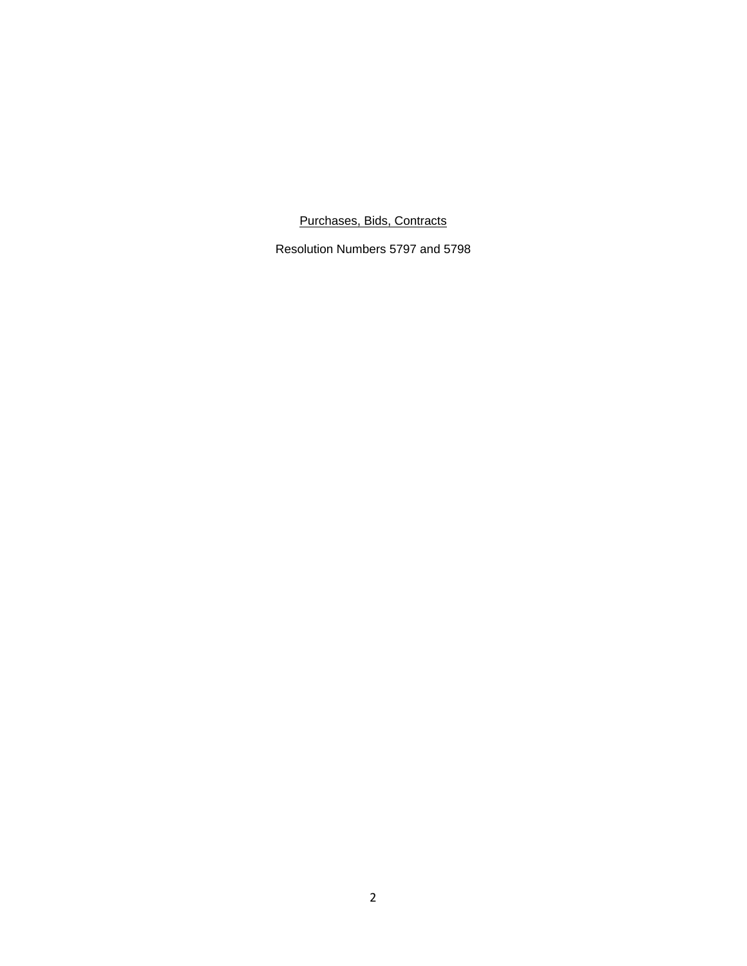Purchases, Bids, Contracts

Resolution Numbers 5797 and 5798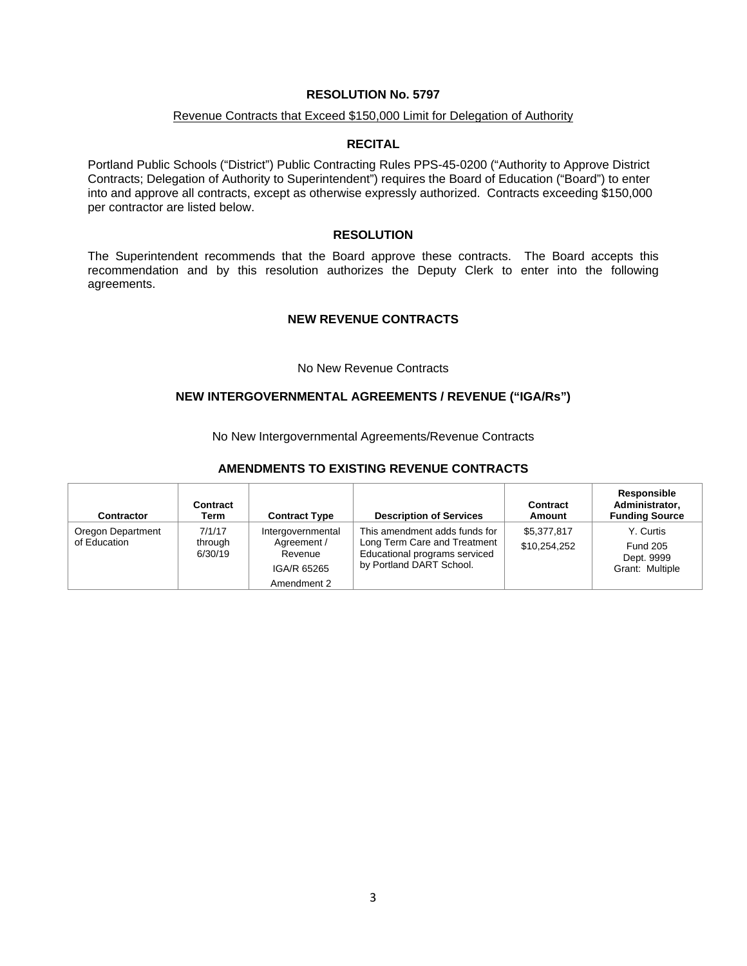### Revenue Contracts that Exceed \$150,000 Limit for Delegation of Authority

### **RECITAL**

Portland Public Schools ("District") Public Contracting Rules PPS-45-0200 ("Authority to Approve District Contracts; Delegation of Authority to Superintendent") requires the Board of Education ("Board") to enter into and approve all contracts, except as otherwise expressly authorized. Contracts exceeding \$150,000 per contractor are listed below.

### **RESOLUTION**

The Superintendent recommends that the Board approve these contracts. The Board accepts this recommendation and by this resolution authorizes the Deputy Clerk to enter into the following agreements.

#### **NEW REVENUE CONTRACTS**

#### No New Revenue Contracts

### **NEW INTERGOVERNMENTAL AGREEMENTS / REVENUE ("IGA/Rs")**

No New Intergovernmental Agreements/Revenue Contracts

#### **AMENDMENTS TO EXISTING REVENUE CONTRACTS**

| Contractor                        | Contract<br>Term             | <b>Contract Type</b>                                                      | <b>Description of Services</b>                                                                                             | Contract<br>Amount          | Responsible<br>Administrator,<br><b>Funding Source</b>        |
|-----------------------------------|------------------------------|---------------------------------------------------------------------------|----------------------------------------------------------------------------------------------------------------------------|-----------------------------|---------------------------------------------------------------|
| Oregon Department<br>of Education | 7/1/17<br>through<br>6/30/19 | Intergovernmental<br>Agreement /<br>Revenue<br>IGA/R 65265<br>Amendment 2 | This amendment adds funds for<br>Long Term Care and Treatment<br>Educational programs serviced<br>by Portland DART School. | \$5,377,817<br>\$10,254,252 | Y. Curtis<br><b>Fund 205</b><br>Dept. 9999<br>Grant: Multiple |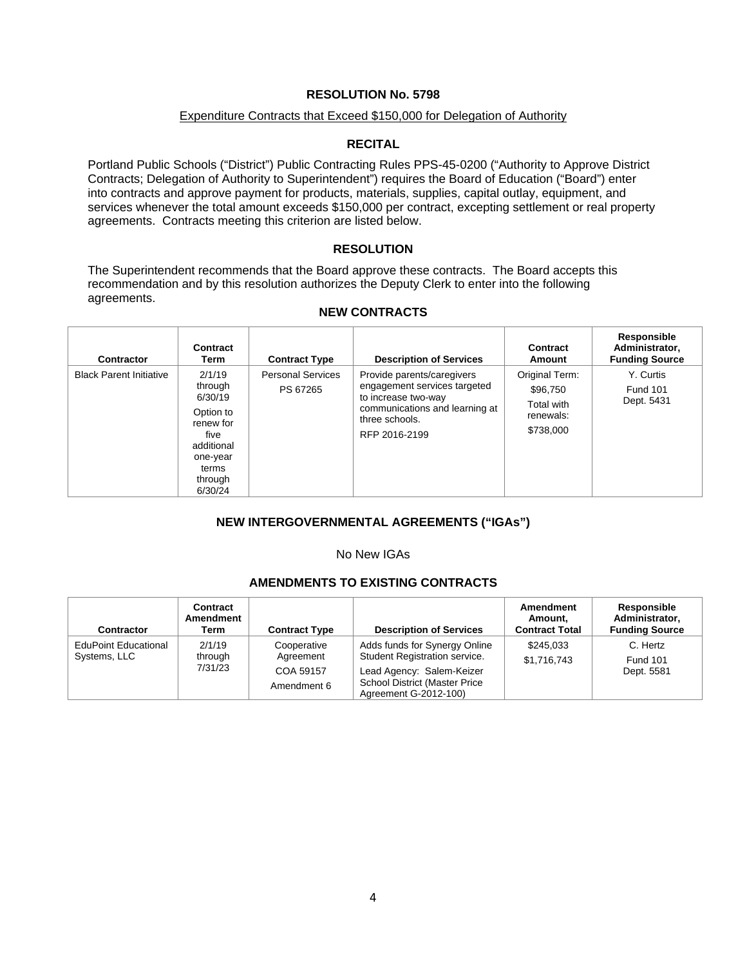# Expenditure Contracts that Exceed \$150,000 for Delegation of Authority

# **RECITAL**

Portland Public Schools ("District") Public Contracting Rules PPS-45-0200 ("Authority to Approve District Contracts; Delegation of Authority to Superintendent") requires the Board of Education ("Board") enter into contracts and approve payment for products, materials, supplies, capital outlay, equipment, and services whenever the total amount exceeds \$150,000 per contract, excepting settlement or real property agreements. Contracts meeting this criterion are listed below.

# **RESOLUTION**

The Superintendent recommends that the Board approve these contracts. The Board accepts this recommendation and by this resolution authorizes the Deputy Clerk to enter into the following agreements.

| <b>Contractor</b>              | Contract<br>Term                                                                                                        | <b>Contract Type</b>                 | <b>Description of Services</b>                                                                                                                         | Contract<br>Amount                                                 | Responsible<br>Administrator,<br><b>Funding Source</b> |
|--------------------------------|-------------------------------------------------------------------------------------------------------------------------|--------------------------------------|--------------------------------------------------------------------------------------------------------------------------------------------------------|--------------------------------------------------------------------|--------------------------------------------------------|
| <b>Black Parent Initiative</b> | 2/1/19<br>through<br>6/30/19<br>Option to<br>renew for<br>five<br>additional<br>one-year<br>terms<br>through<br>6/30/24 | <b>Personal Services</b><br>PS 67265 | Provide parents/caregivers<br>engagement services targeted<br>to increase two-way<br>communications and learning at<br>three schools.<br>RFP 2016-2199 | Original Term:<br>\$96,750<br>Total with<br>renewals:<br>\$738,000 | Y. Curtis<br><b>Fund 101</b><br>Dept. 5431             |

# **NEW CONTRACTS**

# **NEW INTERGOVERNMENTAL AGREEMENTS ("IGAs")**

#### No New IGAs

# **AMENDMENTS TO EXISTING CONTRACTS**

| Contractor                                  | Contract<br>Amendment<br>Term | <b>Contract Type</b>     | <b>Description of Services</b>                                                             | <b>Amendment</b><br>Amount.<br><b>Contract Total</b> | <b>Responsible</b><br>Administrator,<br><b>Funding Source</b> |
|---------------------------------------------|-------------------------------|--------------------------|--------------------------------------------------------------------------------------------|------------------------------------------------------|---------------------------------------------------------------|
| <b>EduPoint Educational</b><br>Systems, LLC | 2/1/19<br>through<br>7/31/23  | Cooperative<br>Agreement | Adds funds for Synergy Online<br>Student Registration service.                             | \$245.033<br>\$1,716,743                             | C. Hertz<br><b>Fund 101</b><br>Dept. 5581                     |
|                                             |                               | COA 59157<br>Amendment 6 | Lead Agency: Salem-Keizer<br><b>School District (Master Price</b><br>Agreement G-2012-100) |                                                      |                                                               |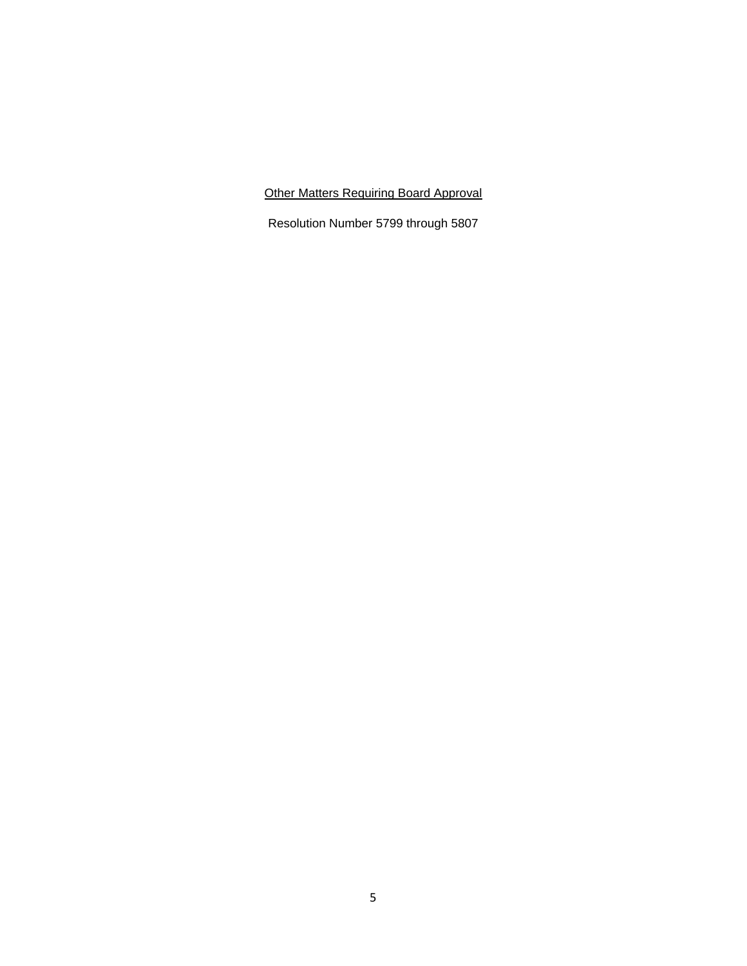Other Matters Requiring Board Approval

Resolution Number 5799 through 5807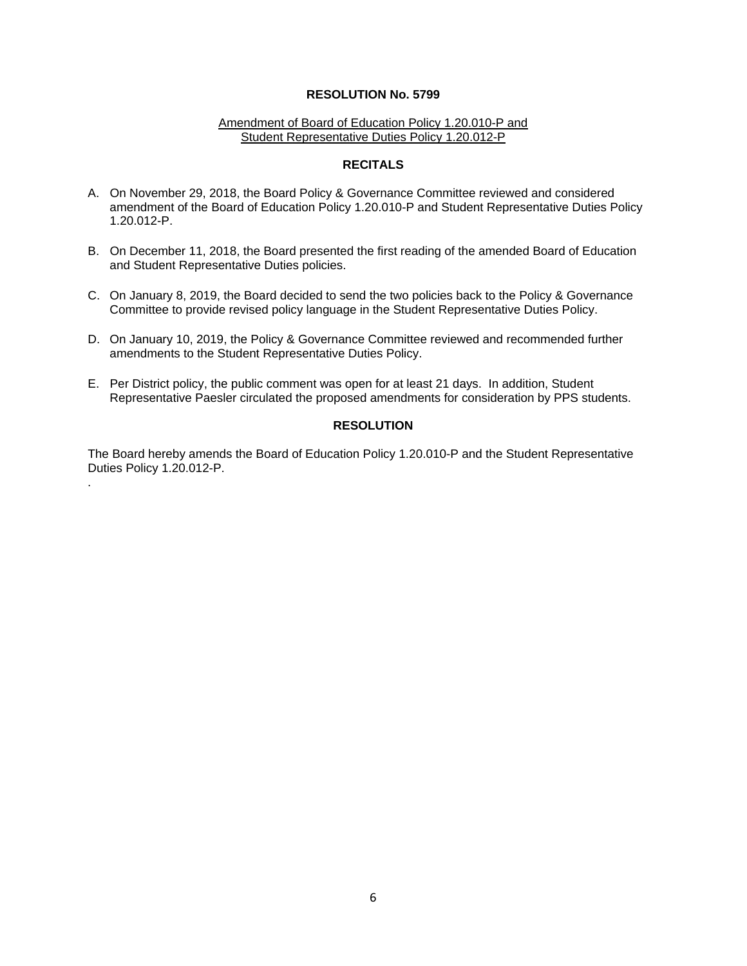#### Amendment of Board of Education Policy 1.20.010-P and Student Representative Duties Policy 1.20.012-P

#### **RECITALS**

- A. On November 29, 2018, the Board Policy & Governance Committee reviewed and considered amendment of the Board of Education Policy 1.20.010-P and Student Representative Duties Policy 1.20.012-P.
- B. On December 11, 2018, the Board presented the first reading of the amended Board of Education and Student Representative Duties policies.
- C. On January 8, 2019, the Board decided to send the two policies back to the Policy & Governance Committee to provide revised policy language in the Student Representative Duties Policy.
- D. On January 10, 2019, the Policy & Governance Committee reviewed and recommended further amendments to the Student Representative Duties Policy.
- E. Per District policy, the public comment was open for at least 21 days. In addition, Student Representative Paesler circulated the proposed amendments for consideration by PPS students.

# **RESOLUTION**

The Board hereby amends the Board of Education Policy 1.20.010-P and the Student Representative Duties Policy 1.20.012-P.

.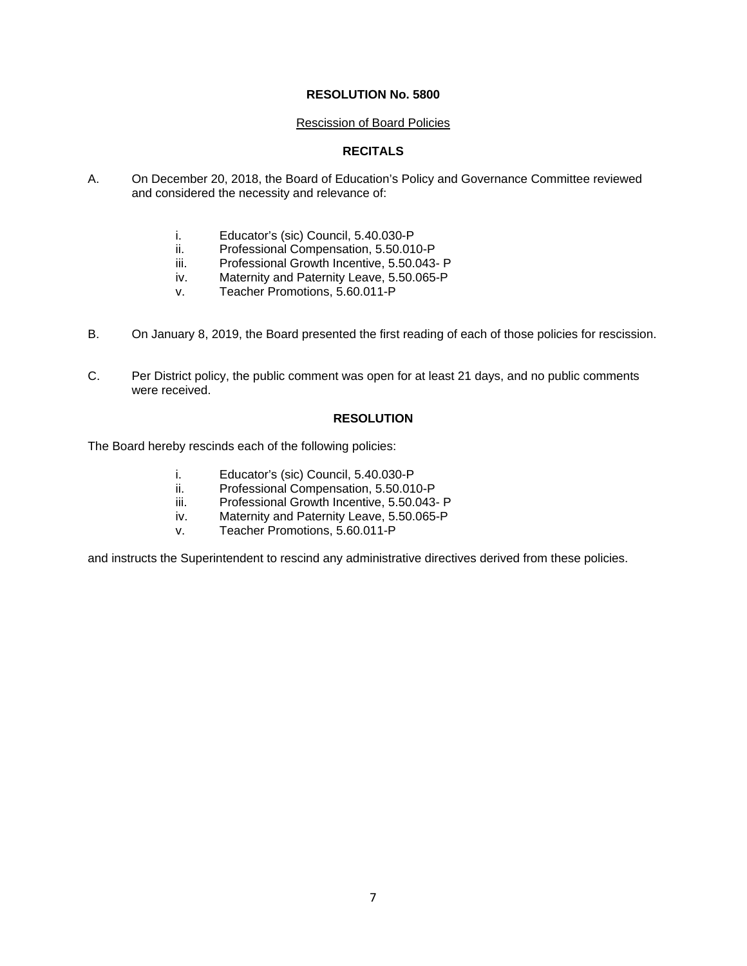### Rescission of Board Policies

# **RECITALS**

- A. On December 20, 2018, the Board of Education's Policy and Governance Committee reviewed and considered the necessity and relevance of:
	- i. Educator's (sic) Council, 5.40.030-P
	- ii. Professional Compensation, 5.50.010-P
	- iii. Professional Growth Incentive, 5.50.043- P
	- iv. Maternity and Paternity Leave, 5.50.065-P
	- v. Teacher Promotions, 5.60.011-P
- B. On January 8, 2019, the Board presented the first reading of each of those policies for rescission.
- C. Per District policy, the public comment was open for at least 21 days, and no public comments were received.

# **RESOLUTION**

The Board hereby rescinds each of the following policies:

- i. Educator's (sic) Council, 5.40.030-P
- ii. Professional Compensation, 5.50.010-P
- iii. Professional Growth Incentive, 5.50.043- P
- iv. Maternity and Paternity Leave, 5.50.065-P
- v. Teacher Promotions, 5.60.011-P

and instructs the Superintendent to rescind any administrative directives derived from these policies.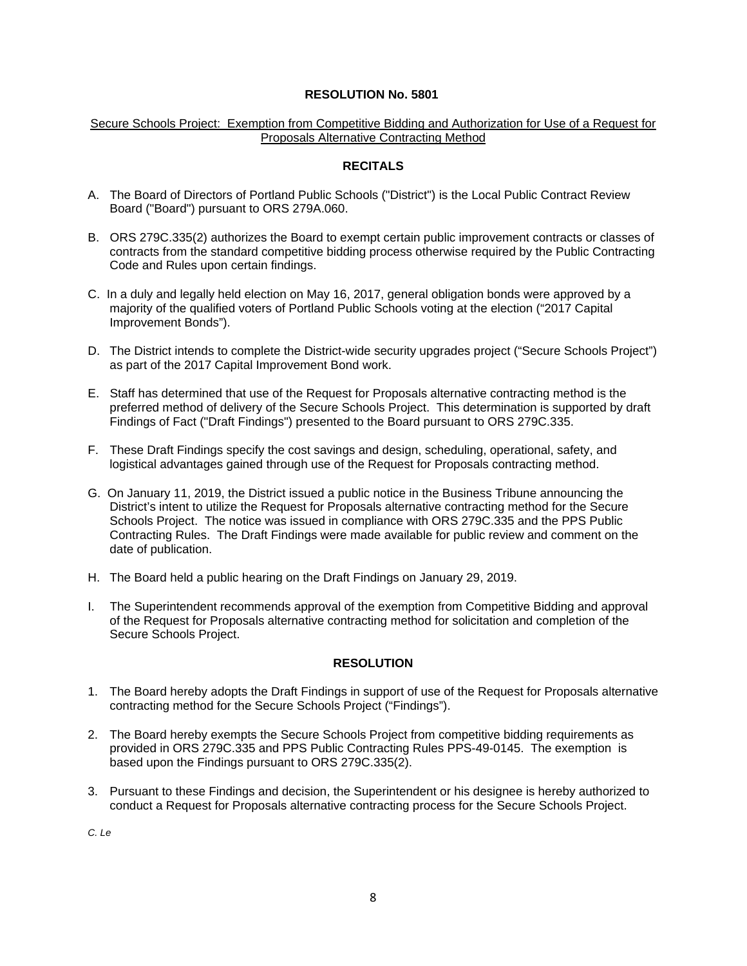# Secure Schools Project: Exemption from Competitive Bidding and Authorization for Use of a Request for Proposals Alternative Contracting Method

# **RECITALS**

- A. The Board of Directors of Portland Public Schools ("District") is the Local Public Contract Review Board ("Board") pursuant to ORS 279A.060.
- B. ORS 279C.335(2) authorizes the Board to exempt certain public improvement contracts or classes of contracts from the standard competitive bidding process otherwise required by the Public Contracting Code and Rules upon certain findings.
- C. In a duly and legally held election on May 16, 2017, general obligation bonds were approved by a majority of the qualified voters of Portland Public Schools voting at the election ("2017 Capital Improvement Bonds").
- D. The District intends to complete the District-wide security upgrades project ("Secure Schools Project") as part of the 2017 Capital Improvement Bond work.
- E. Staff has determined that use of the Request for Proposals alternative contracting method is the preferred method of delivery of the Secure Schools Project. This determination is supported by draft Findings of Fact ("Draft Findings") presented to the Board pursuant to ORS 279C.335.
- F. These Draft Findings specify the cost savings and design, scheduling, operational, safety, and logistical advantages gained through use of the Request for Proposals contracting method.
- G. On January 11, 2019, the District issued a public notice in the Business Tribune announcing the District's intent to utilize the Request for Proposals alternative contracting method for the Secure Schools Project. The notice was issued in compliance with ORS 279C.335 and the PPS Public Contracting Rules. The Draft Findings were made available for public review and comment on the date of publication.
- H. The Board held a public hearing on the Draft Findings on January 29, 2019.
- I. The Superintendent recommends approval of the exemption from Competitive Bidding and approval of the Request for Proposals alternative contracting method for solicitation and completion of the Secure Schools Project.

# **RESOLUTION**

- 1. The Board hereby adopts the Draft Findings in support of use of the Request for Proposals alternative contracting method for the Secure Schools Project ("Findings").
- 2. The Board hereby exempts the Secure Schools Project from competitive bidding requirements as provided in ORS 279C.335 and PPS Public Contracting Rules PPS-49-0145. The exemption is based upon the Findings pursuant to ORS 279C.335(2).
- 3. Pursuant to these Findings and decision, the Superintendent or his designee is hereby authorized to conduct a Request for Proposals alternative contracting process for the Secure Schools Project.

*C. Le*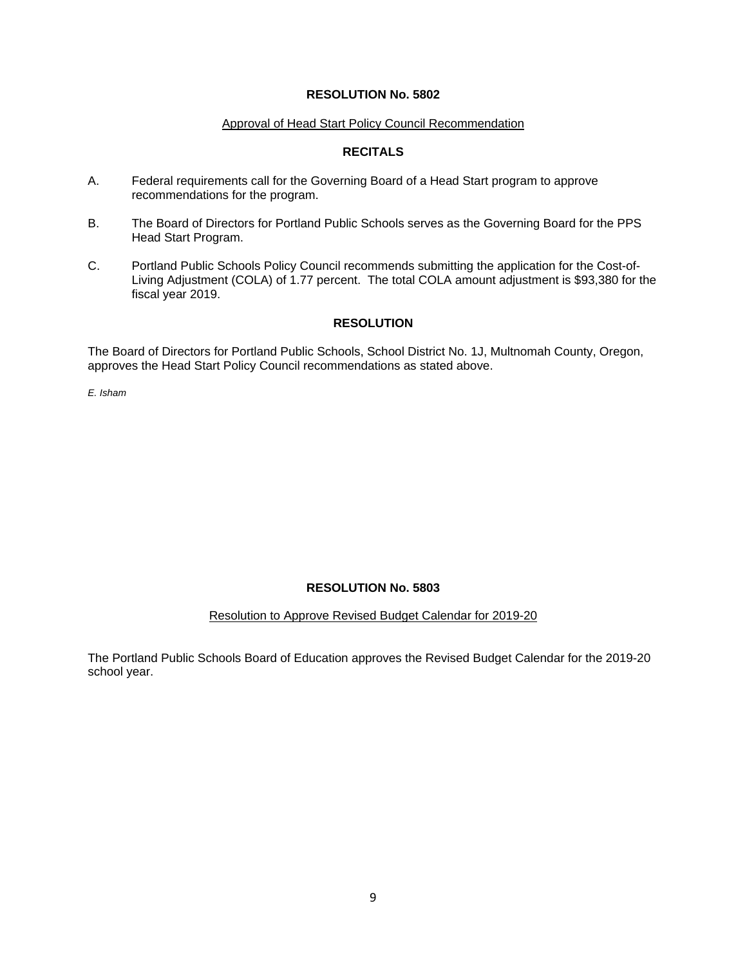### Approval of Head Start Policy Council Recommendation

# **RECITALS**

- A. Federal requirements call for the Governing Board of a Head Start program to approve recommendations for the program.
- B. The Board of Directors for Portland Public Schools serves as the Governing Board for the PPS Head Start Program.
- C. Portland Public Schools Policy Council recommends submitting the application for the Cost-of-Living Adjustment (COLA) of 1.77 percent. The total COLA amount adjustment is \$93,380 for the fiscal year 2019.

# **RESOLUTION**

The Board of Directors for Portland Public Schools, School District No. 1J, Multnomah County, Oregon, approves the Head Start Policy Council recommendations as stated above.

*E. Isham* 

# **RESOLUTION No. 5803**

### Resolution to Approve Revised Budget Calendar for 2019-20

The Portland Public Schools Board of Education approves the Revised Budget Calendar for the 2019-20 school year.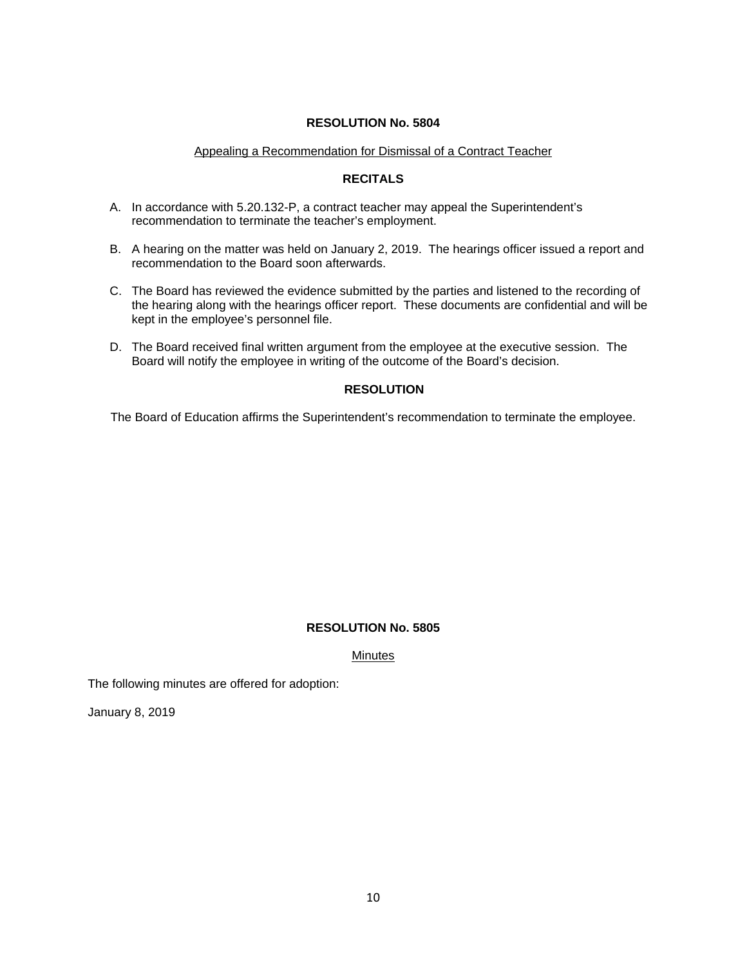### Appealing a Recommendation for Dismissal of a Contract Teacher

# **RECITALS**

- A. In accordance with 5.20.132-P, a contract teacher may appeal the Superintendent's recommendation to terminate the teacher's employment.
- B. A hearing on the matter was held on January 2, 2019. The hearings officer issued a report and recommendation to the Board soon afterwards.
- C. The Board has reviewed the evidence submitted by the parties and listened to the recording of the hearing along with the hearings officer report. These documents are confidential and will be kept in the employee's personnel file.
- D. The Board received final written argument from the employee at the executive session. The Board will notify the employee in writing of the outcome of the Board's decision.

# **RESOLUTION**

The Board of Education affirms the Superintendent's recommendation to terminate the employee.

# **RESOLUTION No. 5805**

Minutes

The following minutes are offered for adoption:

January 8, 2019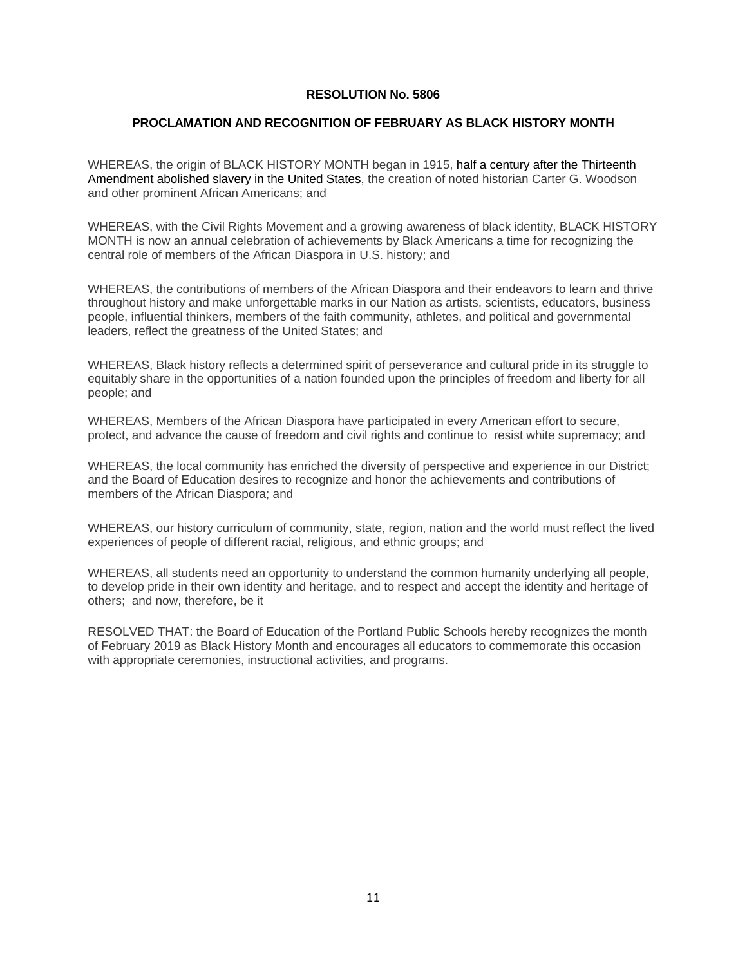### **PROCLAMATION AND RECOGNITION OF FEBRUARY AS BLACK HISTORY MONTH**

WHEREAS, the origin of BLACK HISTORY MONTH began in 1915, half a century after the Thirteenth Amendment abolished slavery in the United States, the creation of noted historian Carter G. Woodson and other prominent African Americans; and

WHEREAS, with the Civil Rights Movement and a growing awareness of black identity, BLACK HISTORY MONTH is now an annual celebration of achievements by Black Americans a time for recognizing the central role of members of the African Diaspora in U.S. history; and

WHEREAS, the contributions of members of the African Diaspora and their endeavors to learn and thrive throughout history and make unforgettable marks in our Nation as artists, scientists, educators, business people, influential thinkers, members of the faith community, athletes, and political and governmental leaders, reflect the greatness of the United States; and

WHEREAS, Black history reflects a determined spirit of perseverance and cultural pride in its struggle to equitably share in the opportunities of a nation founded upon the principles of freedom and liberty for all people; and

WHEREAS, Members of the African Diaspora have participated in every American effort to secure, protect, and advance the cause of freedom and civil rights and continue to resist white supremacy; and

WHEREAS, the local community has enriched the diversity of perspective and experience in our District; and the Board of Education desires to recognize and honor the achievements and contributions of members of the African Diaspora; and

WHEREAS, our history curriculum of community, state, region, nation and the world must reflect the lived experiences of people of different racial, religious, and ethnic groups; and

WHEREAS, all students need an opportunity to understand the common humanity underlying all people, to develop pride in their own identity and heritage, and to respect and accept the identity and heritage of others; and now, therefore, be it

RESOLVED THAT: the Board of Education of the Portland Public Schools hereby recognizes the month of February 2019 as Black History Month and encourages all educators to commemorate this occasion with appropriate ceremonies, instructional activities, and programs.